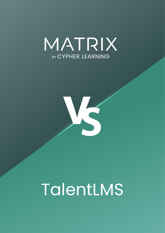



# TalentLMS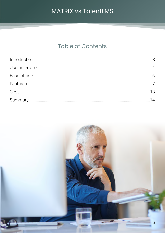# **Table of Contents**

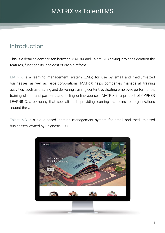# <span id="page-2-0"></span>Introduction

This is a detailed comparison between MATRIX and TalentLMS, taking into consideration the features, functionality, and cost of each platform.

MATRIX is a learning management system (LMS) for use by small and medium-sized businesses, as well as large corporations. MATRIX helps companies manage all training activities, such as creating and delivering training content, evaluating employee performance, training clients and partners, and selling online courses. MATRIX is a product of CYPHER LEARNING, a company that specializes in providing learning platforms for organizations around the world.

TalentLMS is a cloud-based learning management system for small and medium-sized businesses, owned by Epignosis LLC.

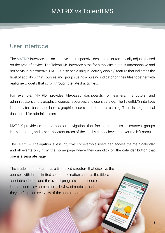# <span id="page-3-0"></span>User interface

The MATRIX interface has an intuitive and responsive design that automatically adjusts based on the type of device. The TalentLMS interface aims for simplicity, but it is unresponsive and not as visually attractive. MATRIX also has a unique "activity display" feature that indicates the level of activity within courses and groups using a pulsing indicator on their tiles together with real-time widgets that scroll through the latest activities.

For example, MATRIX provides tile-based dashboards for learners, instructors, and administrators and a graphical course, resources, and users catalog. The TalentLMS interface is mostly text-based and lacks a graphical users and resources catalog. There is no graphical dashboard for administrators.

MATRIX provides a simple pop-out navigation, that facilitates access to courses, groups learning paths, and other important areas of the site by simply hovering over the left menu.

The TalentLMS navigation is less intuitive. For example, users can access the main calendar and all events only from the home page where they can click on the calendar button that opens a separate page.

The student dashboard has a tile-based structure that displays the courses with just a limited set of information such as the title, a short description, and the overall progress. In the course, learners don't have access to a tile view of modules and they can't see an overview of the course content.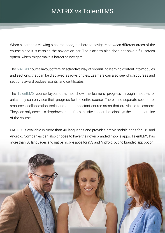When a learner is viewing a course page, it is hard to navigate between different areas of the course since it is missing the navigation bar. The platform also does not have a full-screen option, which might make it harder to navigate.

The MATRIX course layout offers an attractive way of organizing learning content into modules and sections, that can be displayed as rows or tiles. Learners can also see which courses and sections award badges, points, and certificates.

The TalentLMS course layout does not show the learners' progress through modules or units, they can only see their progress for the entire course. There is no separate section for resources, collaboration tools, and other important course areas that are visible to learners. They can only access a dropdown menu from the site header that displays the content outline of the course.

MATRIX is available in more than 40 languages and provides native mobile apps for iOS and Android. Companies can also choose to have their own branded mobile apps. TalentLMS has more than 30 languages and native mobile apps for iOS and Android, but no branded app option.

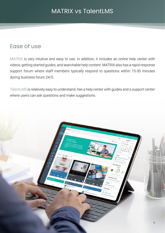# <span id="page-5-0"></span>Ease of use

MATRIX is very intuitive and easy to use. In addition, it includes an online help center with videos, getting started guides, and searchable help content. MATRIX also has a rapid response support forum where staff members typically respond to questions within 15-30 minutes during business hours 24/5.

TalentLMS is relatively easy to understand, has a help center with guides and a support center where users can ask questions and make suggestions.

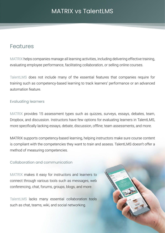# <span id="page-6-0"></span>Features

MATRIX helps companies manage all learning activities, including delivering effective training, evaluating employee performance, facilitating collaboration, or selling online courses.

TalentLMS does not include many of the essential features that companies require for training such as competency-based learning to track learners' performance or an advanced automation feature.

## Evaluating learners

MATRIX provides 15 assessment types such as quizzes, surveys, essays, debates, team, Dropbox, and discussion. Instructors have few options for evaluating learners in TalentLMS, more specifically lacking essays, debate, discussion, offline, team assessments, and more.

MATRIX supports competency-based learning, helping instructors make sure course content is compliant with the competencies they want to train and assess. TalentLMS doesn't offer a method of measuring competencies.

## Collaboration and communication

MATRIX makes it easy for instructors and learners to connect through various tools such as messages, web conferencing, chat, forums, groups, blogs, and more.

TalentLMS lacks many essential collaboration tools such as chat, teams, wiki, and social networking.

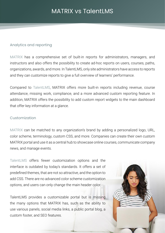## Analytics and reporting

MATRIX has a comprehensive set of built-in reports for administrators, managers, and instructors and also offers the possibility to create ad-hoc reports on users, courses, paths, organizations, awards, and more. In TalentLMS, only site administrators have access to reports and they can customize reports to give a full overview of learners' performance.

Compared to TalentLMS, MATRIX offers more built-in reports including revenue, course attendance, missing work, compliance, and a more advanced custom reporting feature. In addition, MATRIX offers the possibility to add custom report widgets to the main dashboard that offer key information at a glance.

#### Customization

MATRIX can be matched to any organization's brand by adding a personalized logo, URL, color scheme, terminology, custom CSS, and more. Companies can create their own custom MATRIX portal and use it as a central hub to showcase online courses, communicate company news, and manage events.

TalentLMS offers fewer customization options and the interface is outdated by today's standards. It offers a set of predefined themes, that are not so attractive, and the option to add CSS. There are no advanced color scheme customization options, and users can only change the main header color.

TalentLMS provides a customizable portal but is missing the many options that MATRIX has, such as the ability to use various panels, social media links, a public portal blog, a custom footer, and SEO features.

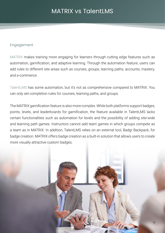#### Engagement

MATRIX makes training more engaging for learners through cutting edge features such as automation, gamification, and adaptive learning. Through the automation feature, users can add rules to different site areas such as courses, groups, learning paths, accounts, mastery, and e-commerce.

TalentLMS has some automation, but it's not as comprehensive compared to MATRIX. You can only set completion rules for courses, learning paths, and groups.

The MATRIX gamification feature is also more complex. While both platforms support badges, points, levels, and leaderboards for gamification, the feature available in TalentLMS lacks certain functionalities such as automation for levels and the possibility of adding site-wide and learning path games. Instructors cannot add team games in which groups compete as a team as in MATRIX. In addition, TalentLMS relies on an external tool, Badgr Backpack, for badge creation. MATRIX offers badge creation as a built-in solution that allows users to create more visually attractive custom badges.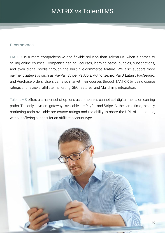#### E-commerce

MATRIX is a more comprehensive and flexible solution than TalentLMS when it comes to selling online courses. Companies can sell courses, learning paths, bundles, subscriptions, and even digital media through the built-in e-commerce feature. We also support more payment gateways such as PayPal, Stripe, PayUbiz, Authorize.net, PayU Latam, PagSeguro, and Purchase orders. Users can also market their courses through MATRIX by using course ratings and reviews, affiliate marketing, SEO features, and Mailchimp integration.

TalentLMS offers a smaller set of options as companies cannot sell digital media or learning paths. The only payment gateways available are PayPal and Stripe. At the same time, the only marketing tools available are course ratings and the ability to share the URL of the course, without offering support for an affiliate account type.

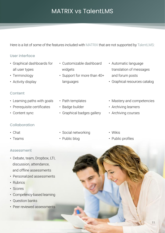Here is a list of some of the features included with MATRIX that are not supported by TalentLMS:

## User interface

- Graphical dashboards for all user types
- Terminology
- Activity display

## Content

- Learning paths with goals
- Prerequisite certificates
- Content sync

## Collaboration

- Chat
- Teams

## Assessment

- Debate, team, Dropbox, LTI, discussion, attendance, and offline assessments
- Personalized assessments
- Rubrics
- Scores
- Competency-based learning
- Question banks
- Peer reviewed assessments
- Customizable dashboard widgets
- Support for more than 40+ languages
- Path templates
- Badge builder
- Graphical badges gallery
- Automatic language translation of messages and forum posts
- Graphical resources catalog
- Mastery and competencies
- Archiving learners
- Archiving courses
- Social networking
- Public blog
- Wikis
- Public profiles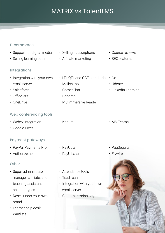## E-commerce

- Support for digital media
- Selling learning paths

## Integrations

- Integration with your own email server
- Salesforce
- Office 365
- OneDrive

## Web conferencing tools

- Webex integration
- Google Meet

## Payment gateways

- PayPal Payments Pro
- 

## **Other**

- Super administrator, manager, affiliate, and teaching-assistant account types
- Resell under your own brand
- Learner help desk
- Waitlists
- Selling subscriptions
- Affiliate marketing
	- LTI, QTI, and CCF standards Go1
- Mailchimp
- CometChat
- Panopto
- MS Immersive Reader
- Course reviews
- SEO features
- 
- Udemy
- LinkedIn Learning

- MS Teams
- PagSeguro
- Flywire



- Kaltura
	-
	- PayUbiz
	- PayU Latam
	- Attendance tools
	- Trash can
	- Integration with your own email server
	- Custom terminology
- Authorize.net
-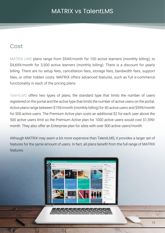# <span id="page-12-0"></span>Cost

MATRIX LMS plans range from \$549/month for 100 active learners (monthly billing), to \$4,699/month for 3,500 active learners (monthly billing). There is a discount for yearly billing. There are no setup fees, cancellation fees, storage fees, bandwidth fees, support fees, or other hidden costs. MATRIX offers advanced features, such as full e-commerce functionality in each of the pricing plans.

TalentLMS offers two types of plans, the standard type that limits the number of users registered on the portal and the active type that limits the number of active users on the portal. Active plans range between \$159/month (monthly billing) for 40 active users and \$599/month for 500 active users. The Premium Active plan costs an additional \$2 for each user above the 500 active users limit so the Premium Active plan for 1000 active users would cost \$1,599/ month. They also offer an Enterprise plan for sites with over 500 active users/month.

Although MATRIX may seem a bit more expensive than TalentLMS, it provides a larger set of features for the same amount of users. In fact, all plans benefit from the full range of MATRIX features.